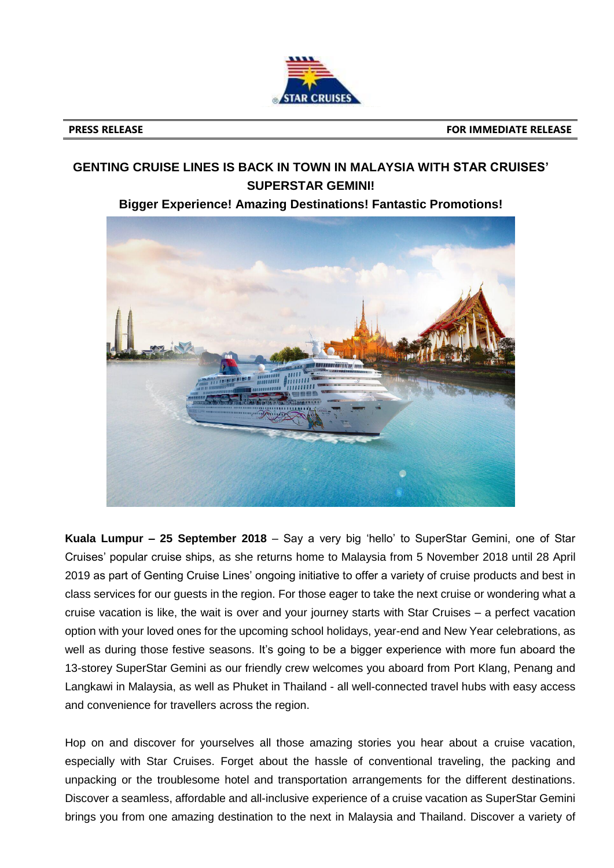

## **GENTING CRUISE LINES IS BACK IN TOWN IN MALAYSIA WITH STAR CRUISES' SUPERSTAR GEMINI!**

**Bigger Experience! Amazing Destinations! Fantastic Promotions!** 



**Kuala Lumpur – 25 September 2018** – Say a very big 'hello' to SuperStar Gemini, one of Star Cruises' popular cruise ships, as she returns home to Malaysia from 5 November 2018 until 28 April 2019 as part of Genting Cruise Lines' ongoing initiative to offer a variety of cruise products and best in class services for our guests in the region. For those eager to take the next cruise or wondering what a cruise vacation is like, the wait is over and your journey starts with Star Cruises – a perfect vacation option with your loved ones for the upcoming school holidays, year-end and New Year celebrations, as well as during those festive seasons. It's going to be a bigger experience with more fun aboard the 13-storey SuperStar Gemini as our friendly crew welcomes you aboard from Port Klang, Penang and Langkawi in Malaysia, as well as Phuket in Thailand - all well-connected travel hubs with easy access and convenience for travellers across the region.

Hop on and discover for yourselves all those amazing stories you hear about a cruise vacation, especially with Star Cruises. Forget about the hassle of conventional traveling, the packing and unpacking or the troublesome hotel and transportation arrangements for the different destinations. Discover a seamless, affordable and all-inclusive experience of a cruise vacation as SuperStar Gemini brings you from one amazing destination to the next in Malaysia and Thailand. Discover a variety of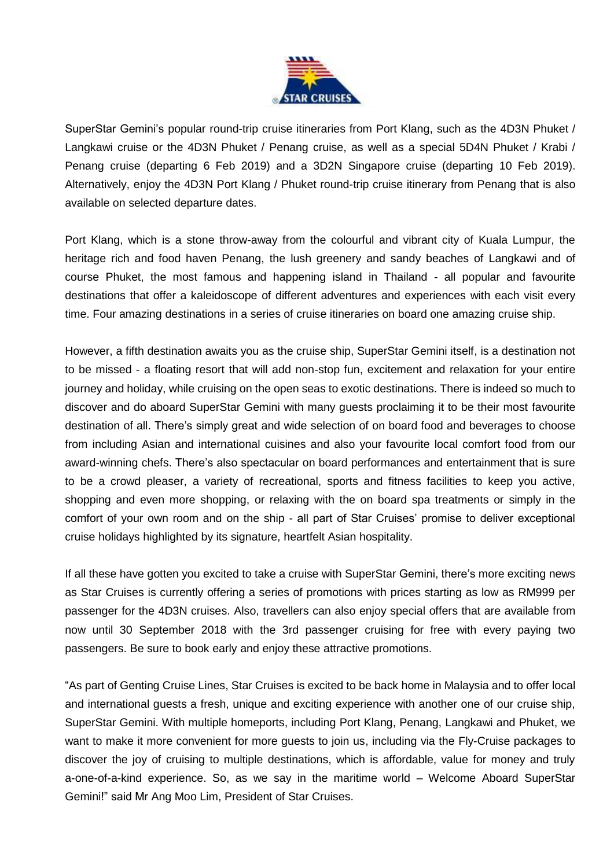

SuperStar Gemini's popular round-trip cruise itineraries from Port Klang, such as the 4D3N Phuket / Langkawi cruise or the 4D3N Phuket / Penang cruise, as well as a special 5D4N Phuket / Krabi / Penang cruise (departing 6 Feb 2019) and a 3D2N Singapore cruise (departing 10 Feb 2019). Alternatively, enjoy the 4D3N Port Klang / Phuket round-trip cruise itinerary from Penang that is also available on selected departure dates.

Port Klang, which is a stone throw-away from the colourful and vibrant city of Kuala Lumpur, the heritage rich and food haven Penang, the lush greenery and sandy beaches of Langkawi and of course Phuket, the most famous and happening island in Thailand - all popular and favourite destinations that offer a kaleidoscope of different adventures and experiences with each visit every time. Four amazing destinations in a series of cruise itineraries on board one amazing cruise ship.

However, a fifth destination awaits you as the cruise ship, SuperStar Gemini itself, is a destination not to be missed - a floating resort that will add non-stop fun, excitement and relaxation for your entire journey and holiday, while cruising on the open seas to exotic destinations. There is indeed so much to discover and do aboard SuperStar Gemini with many guests proclaiming it to be their most favourite destination of all. There's simply great and wide selection of on board food and beverages to choose from including Asian and international cuisines and also your favourite local comfort food from our award-winning chefs. There's also spectacular on board performances and entertainment that is sure to be a crowd pleaser, a variety of recreational, sports and fitness facilities to keep you active, shopping and even more shopping, or relaxing with the on board spa treatments or simply in the comfort of your own room and on the ship - all part of Star Cruises' promise to deliver exceptional cruise holidays highlighted by its signature, heartfelt Asian hospitality.

If all these have gotten you excited to take a cruise with SuperStar Gemini, there's more exciting news as Star Cruises is currently offering a series of promotions with prices starting as low as RM999 per passenger for the 4D3N cruises. Also, travellers can also enjoy special offers that are available from now until 30 September 2018 with the 3rd passenger cruising for free with every paying two passengers. Be sure to book early and enjoy these attractive promotions.

"As part of Genting Cruise Lines, Star Cruises is excited to be back home in Malaysia and to offer local and international guests a fresh, unique and exciting experience with another one of our cruise ship, SuperStar Gemini. With multiple homeports, including Port Klang, Penang, Langkawi and Phuket, we want to make it more convenient for more guests to join us, including via the Fly-Cruise packages to discover the joy of cruising to multiple destinations, which is affordable, value for money and truly a-one-of-a-kind experience. So, as we say in the maritime world – Welcome Aboard SuperStar Gemini!" said Mr Ang Moo Lim, President of Star Cruises.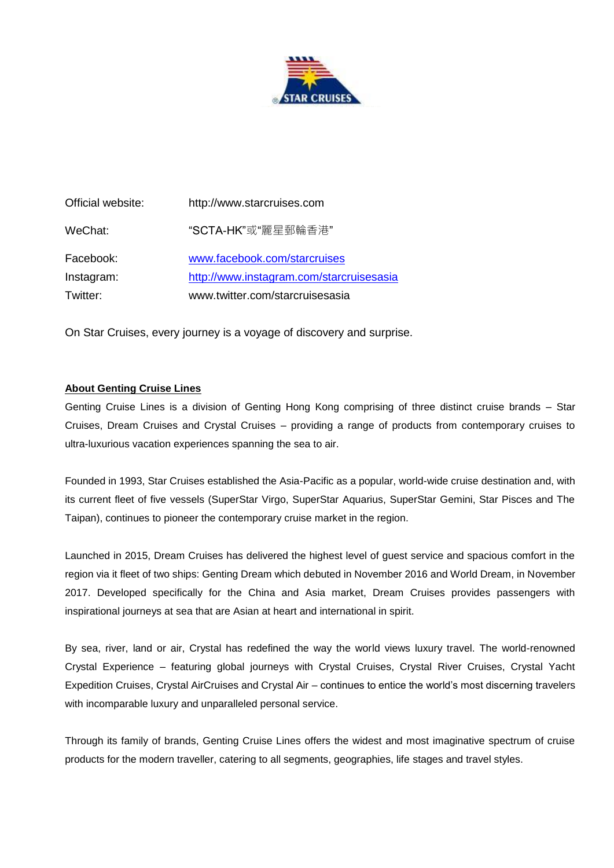

| Official website: | http://www.starcruises.com               |
|-------------------|------------------------------------------|
| WeChat:           | "SCTA-HK"或"麗星郵輪香港"                       |
| Facebook:         | www.facebook.com/starcruises             |
| Instagram:        | http://www.instagram.com/starcruisesasia |
| Twitter:          | www.twitter.com/starcruisesasia          |

On Star Cruises, every journey is a voyage of discovery and surprise.

## **About Genting Cruise Lines**

Genting Cruise Lines is a division of Genting Hong Kong comprising of three distinct cruise brands – Star Cruises, Dream Cruises and Crystal Cruises – providing a range of products from contemporary cruises to ultra-luxurious vacation experiences spanning the sea to air.

Founded in 1993, Star Cruises established the Asia-Pacific as a popular, world-wide cruise destination and, with its current fleet of five vessels (SuperStar Virgo, SuperStar Aquarius, SuperStar Gemini, Star Pisces and The Taipan), continues to pioneer the contemporary cruise market in the region.

Launched in 2015, Dream Cruises has delivered the highest level of guest service and spacious comfort in the region via it fleet of two ships: Genting Dream which debuted in November 2016 and World Dream, in November 2017. Developed specifically for the China and Asia market, Dream Cruises provides passengers with inspirational journeys at sea that are Asian at heart and international in spirit.

By sea, river, land or air, Crystal has redefined the way the world views luxury travel. The world-renowned Crystal Experience – featuring global journeys with Crystal Cruises, Crystal River Cruises, Crystal Yacht Expedition Cruises, Crystal AirCruises and Crystal Air – continues to entice the world's most discerning travelers with incomparable luxury and unparalleled personal service.

Through its family of brands, Genting Cruise Lines offers the widest and most imaginative spectrum of cruise products for the modern traveller, catering to all segments, geographies, life stages and travel styles.